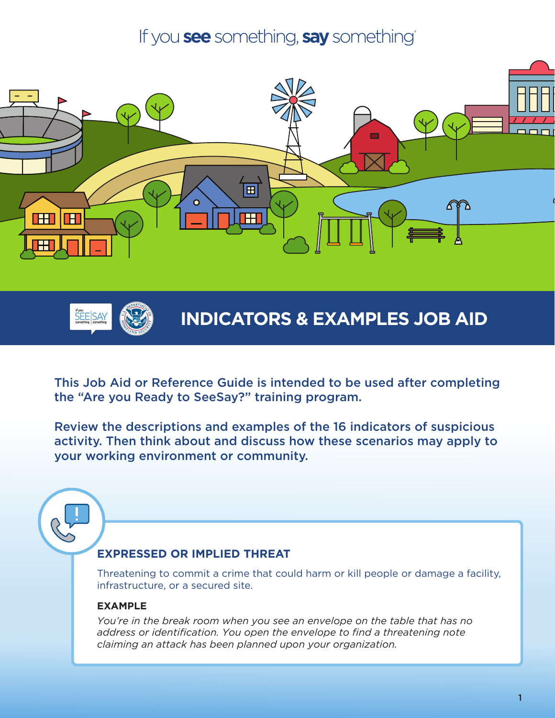# If you **see** something, **say** something<sup>®</sup>





# **INDICATORS & EXAMPLES JOB AID**

This Job Aid or Reference Guide is intended to be used after completing the "Are you Ready to SeeSay?" training program.

Review the descriptions and examples of the 16 indicators of suspicious activity. Then think about and discuss how these scenarios may apply to your working environment or community.

## **EXPRESSED OR IMPLIED THREAT**

Threatening to commit a crime that could harm or kill people or damage a facility, infrastructure, or a secured site.

#### **EXAMPLE**

*You're in the break room when you see an envelope on the table that has no address or identification. You open the envelope to find a threatening note claiming an attack has been planned upon your organization.*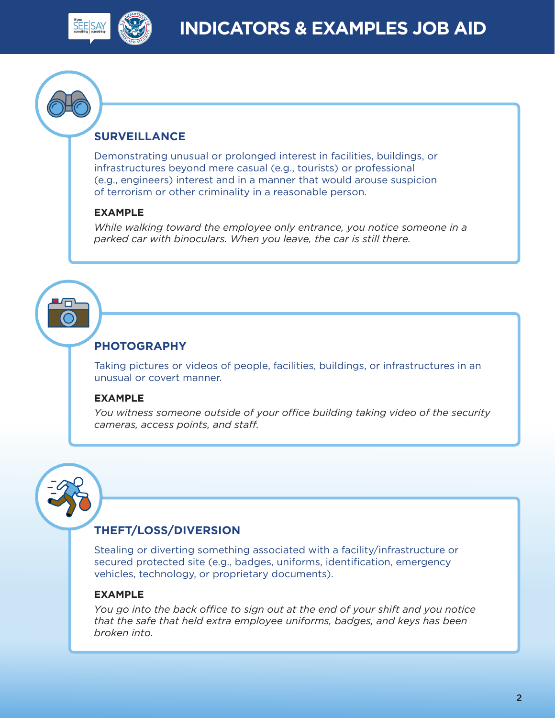



Demonstrating unusual or prolonged interest in facilities, buildings, or infrastructures beyond mere casual (e.g., tourists) or professional (e.g., engineers) interest and in a manner that would arouse suspicion of terrorism or other criminality in a reasonable person.

#### **EXAMPLE**

*While walking toward the employee only entrance, you notice someone in a parked car with binoculars. When you leave, the car is still there.* 

## **PHOTOGRAPHY**

Taking pictures or videos of people, facilities, buildings, or infrastructures in an unusual or covert manner.

## **EXAMPLE**

*You witness someone outside of your office building taking video of the security cameras, access points, and staff.* 



## **THEFT/LOSS/DIVERSION**

Stealing or diverting something associated with a facility/infrastructure or secured protected site (e.g., badges, uniforms, identification, emergency vehicles, technology, or proprietary documents).

## **EXAMPLE**

*You go into the back office to sign out at the end of your shift and you notice that the safe that held extra employee uniforms, badges, and keys has been broken into.*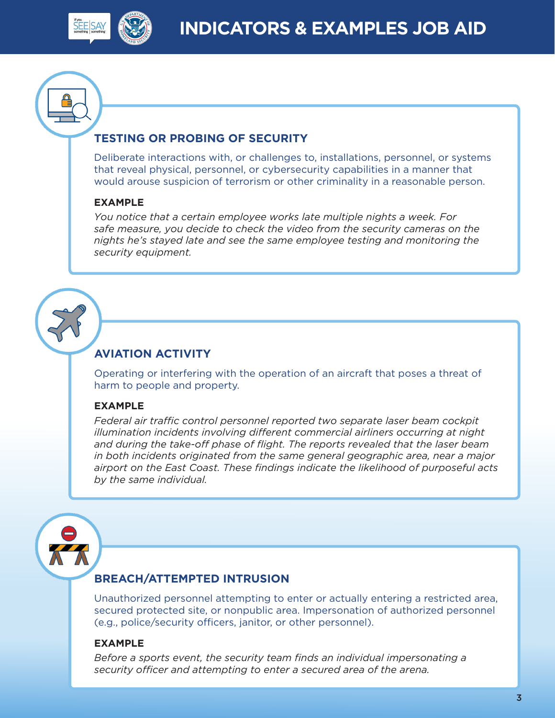

## **TESTING OR PROBING OF SECURITY**

Deliberate interactions with, or challenges to, installations, personnel, or systems that reveal physical, personnel, or cybersecurity capabilities in a manner that would arouse suspicion of terrorism or other criminality in a reasonable person.

#### **EXAMPLE**

*You notice that a certain employee works late multiple nights a week. For safe measure, you decide to check the video from the security cameras on the nights he's stayed late and see the same employee testing and monitoring the security equipment.* 



### **AVIATION ACTIVITY**

Operating or interfering with the operation of an aircraft that poses a threat of harm to people and property.

#### **EXAMPLE**

*Federal air traffic control personnel reported two separate laser beam cockpit illumination incidents involving different commercial airliners occurring at night and during the take-off phase of flight. The reports revealed that the laser beam in both incidents originated from the same general geographic area, near a major airport on the East Coast. These findings indicate the likelihood of purposeful acts by the same individual.*

#### **BREACH/ATTEMPTED INTRUSION**

Unauthorized personnel attempting to enter or actually entering a restricted area, secured protected site, or nonpublic area. Impersonation of authorized personnel (e.g., police/security officers, janitor, or other personnel).

#### **EXAMPLE**

*Before a sports event, the security team finds an individual impersonating a security officer and attempting to enter a secured area of the arena.*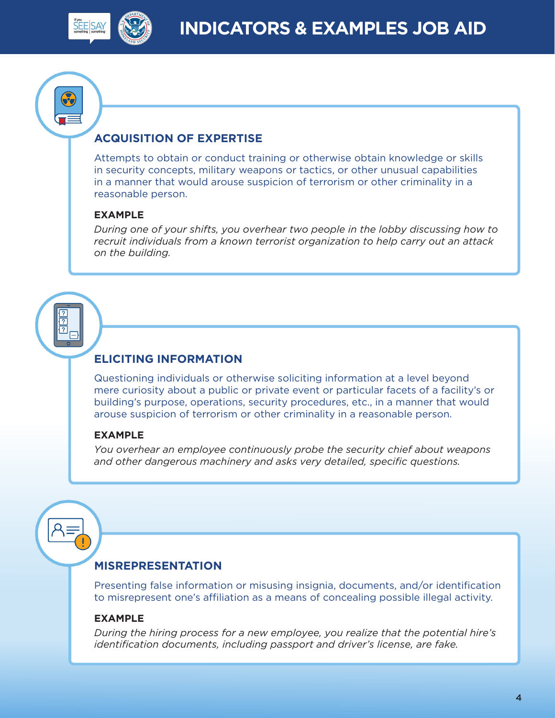



## **ACQUISITION OF EXPERTISE**

Attempts to obtain or conduct training or otherwise obtain knowledge or skills in security concepts, military weapons or tactics, or other unusual capabilities in a manner that would arouse suspicion of terrorism or other criminality in a reasonable person.

## **EXAMPLE**

*During one of your shifts, you overhear two people in the lobby discussing how to recruit individuals from a known terrorist organization to help carry out an attack on the building.*



## **ELICITING INFORMATION**

Questioning individuals or otherwise soliciting information at a level beyond mere curiosity about a public or private event or particular facets of a facility's or building's purpose, operations, security procedures, etc., in a manner that would arouse suspicion of terrorism or other criminality in a reasonable person.

## **EXAMPLE**

*You overhear an employee continuously probe the security chief about weapons and other dangerous machinery and asks very detailed, specific questions.* 

## **MISREPRESENTATION**

Presenting false information or misusing insignia, documents, and/or identification to misrepresent one's affiliation as a means of concealing possible illegal activity.

## **EXAMPLE**

*During the hiring process for a new employee, you realize that the potential hire's identification documents, including passport and driver's license, are fake.*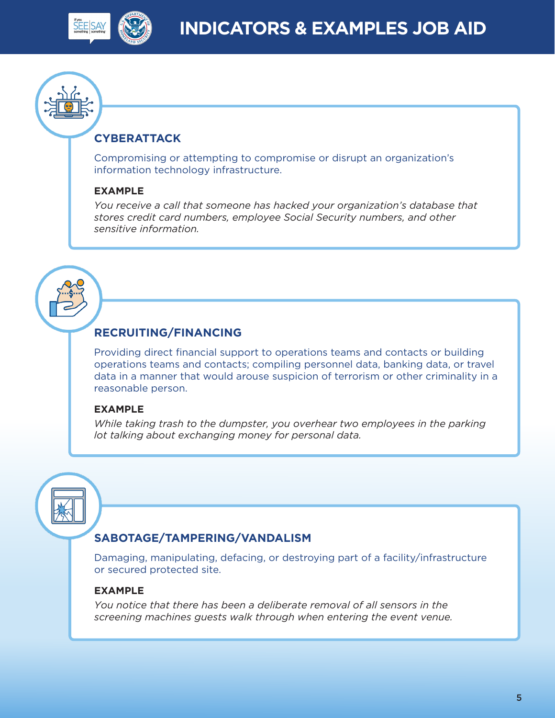



Compromising or attempting to compromise or disrupt an organization's information technology infrastructure.

#### **EXAMPLE**

*You receive a call that someone has hacked your organization's database that stores credit card numbers, employee Social Security numbers, and other sensitive information.* 

## **RECRUITING/FINANCING**

Providing direct financial support to operations teams and contacts or building operations teams and contacts; compiling personnel data, banking data, or travel data in a manner that would arouse suspicion of terrorism or other criminality in a reasonable person.

#### **EXAMPLE**

*While taking trash to the dumpster, you overhear two employees in the parking lot talking about exchanging money for personal data.* 

## **SABOTAGE/TAMPERING/VANDALISM**

Damaging, manipulating, defacing, or destroying part of a facility/infrastructure or secured protected site.

#### **EXAMPLE**

*You notice that there has been a deliberate removal of all sensors in the screening machines guests walk through when entering the event venue.*